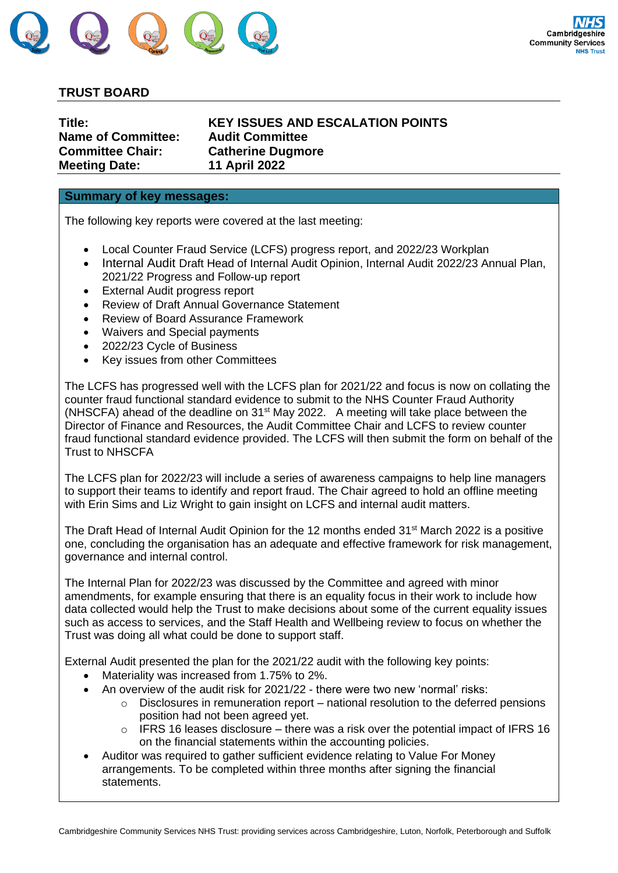

## **TRUST BOARD**

| Title:                    | <b>KEY ISSUES AND ESCALATION POINTS</b> |
|---------------------------|-----------------------------------------|
| <b>Name of Committee:</b> | <b>Audit Committee</b>                  |
| <b>Committee Chair:</b>   | <b>Catherine Dugmore</b>                |
| <b>Meeting Date:</b>      | <b>11 April 2022</b>                    |

## **Summary of key messages:**

The following key reports were covered at the last meeting:

- Local Counter Fraud Service (LCFS) progress report, and 2022/23 Workplan
- Internal Audit Draft Head of Internal Audit Opinion, Internal Audit 2022/23 Annual Plan, 2021/22 Progress and Follow-up report
- External Audit progress report
- Review of Draft Annual Governance Statement
- Review of Board Assurance Framework
- Waivers and Special payments
- 2022/23 Cycle of Business
- Key issues from other Committees

The LCFS has progressed well with the LCFS plan for 2021/22 and focus is now on collating the counter fraud functional standard evidence to submit to the NHS Counter Fraud Authority (NHSCFA) ahead of the deadline on 31st May 2022. A meeting will take place between the Director of Finance and Resources, the Audit Committee Chair and LCFS to review counter fraud functional standard evidence provided. The LCFS will then submit the form on behalf of the Trust to NHSCFA

The LCFS plan for 2022/23 will include a series of awareness campaigns to help line managers to support their teams to identify and report fraud. The Chair agreed to hold an offline meeting with Erin Sims and Liz Wright to gain insight on LCFS and internal audit matters.

The Draft Head of Internal Audit Opinion for the 12 months ended  $31<sup>st</sup>$  March 2022 is a positive one, concluding the organisation has an adequate and effective framework for risk management, governance and internal control.

The Internal Plan for 2022/23 was discussed by the Committee and agreed with minor amendments, for example ensuring that there is an equality focus in their work to include how data collected would help the Trust to make decisions about some of the current equality issues such as access to services, and the Staff Health and Wellbeing review to focus on whether the Trust was doing all what could be done to support staff.

External Audit presented the plan for the 2021/22 audit with the following key points:

- Materiality was increased from 1.75% to 2%.
- An overview of the audit risk for 2021/22 there were two new 'normal' risks:
	- $\circ$  Disclosures in remuneration report national resolution to the deferred pensions position had not been agreed yet.
	- $\circ$  IFRS 16 leases disclosure there was a risk over the potential impact of IFRS 16 on the financial statements within the accounting policies.
- Auditor was required to gather sufficient evidence relating to Value For Money arrangements. To be completed within three months after signing the financial statements.